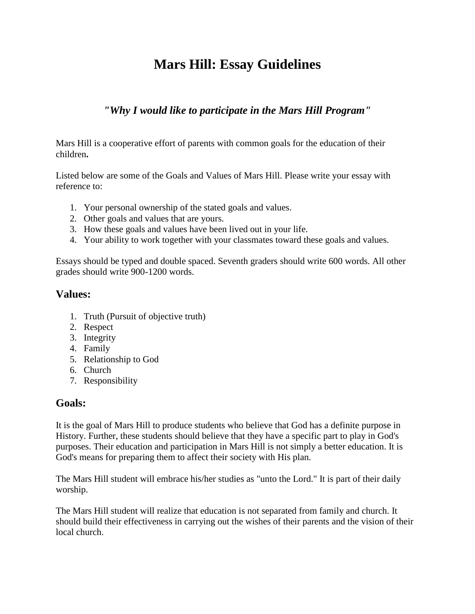## **Mars Hill: Essay Guidelines**

## *"Why I would like to participate in the Mars Hill Program"*

Mars Hill is a cooperative effort of parents with common goals for the education of their children**.**

Listed below are some of the Goals and Values of Mars Hill. Please write your essay with reference to:

- 1. Your personal ownership of the stated goals and values.
- 2. Other goals and values that are yours.
- 3. How these goals and values have been lived out in your life.
- 4. Your ability to work together with your classmates toward these goals and values.

Essays should be typed and double spaced. Seventh graders should write 600 words. All other grades should write 900-1200 words.

## **Values:**

- 1. Truth (Pursuit of objective truth)
- 2. Respect
- 3. Integrity
- 4. Family
- 5. Relationship to God
- 6. Church
- 7. Responsibility

## **Goals:**

It is the goal of Mars Hill to produce students who believe that God has a definite purpose in History. Further, these students should believe that they have a specific part to play in God's purposes. Their education and participation in Mars Hill is not simply a better education. It is God's means for preparing them to affect their society with His plan.

The Mars Hill student will embrace his/her studies as "unto the Lord." It is part of their daily worship.

The Mars Hill student will realize that education is not separated from family and church. It should build their effectiveness in carrying out the wishes of their parents and the vision of their local church.